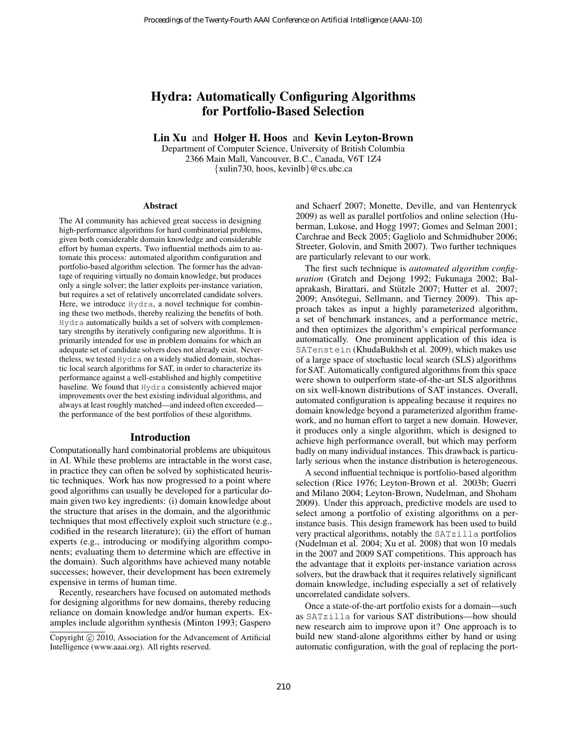# Hydra: Automatically Configuring Algorithms for Portfolio-Based Selection

Lin Xu and Holger H. Hoos and Kevin Leyton-Brown

Department of Computer Science, University of British Columbia 2366 Main Mall, Vancouver, B.C., Canada, V6T 1Z4 {xulin730, hoos, kevinlb}@cs.ubc.ca

#### Abstract

The AI community has achieved great success in designing high-performance algorithms for hard combinatorial problems, given both considerable domain knowledge and considerable effort by human experts. Two influential methods aim to automate this process: automated algorithm configuration and portfolio-based algorithm selection. The former has the advantage of requiring virtually no domain knowledge, but produces only a single solver; the latter exploits per-instance variation, but requires a set of relatively uncorrelated candidate solvers. Here, we introduce Hydra, a novel technique for combining these two methods, thereby realizing the benefits of both. Hydra automatically builds a set of solvers with complementary strengths by iteratively configuring new algorithms. It is primarily intended for use in problem domains for which an adequate set of candidate solvers does not already exist. Nevertheless, we tested Hydra on a widely studied domain, stochastic local search algorithms for SAT, in order to characterize its performance against a well-established and highly competitive baseline. We found that Hydra consistently achieved major improvements over the best existing individual algorithms, and always at least roughly matched—and indeed often exceeded the performance of the best portfolios of these algorithms.

# Introduction

Computationally hard combinatorial problems are ubiquitous in AI. While these problems are intractable in the worst case, in practice they can often be solved by sophisticated heuristic techniques. Work has now progressed to a point where good algorithms can usually be developed for a particular domain given two key ingredients: (i) domain knowledge about the structure that arises in the domain, and the algorithmic techniques that most effectively exploit such structure (e.g., codified in the research literature); (ii) the effort of human experts (e.g., introducing or modifying algorithm components; evaluating them to determine which are effective in the domain). Such algorithms have achieved many notable successes; however, their development has been extremely expensive in terms of human time.

Recently, researchers have focused on automated methods for designing algorithms for new domains, thereby reducing reliance on domain knowledge and/or human experts. Examples include algorithm synthesis (Minton 1993; Gaspero

and Schaerf 2007; Monette, Deville, and van Hentenryck 2009) as well as parallel portfolios and online selection (Huberman, Lukose, and Hogg 1997; Gomes and Selman 2001; Carchrae and Beck 2005; Gagliolo and Schmidhuber 2006; Streeter, Golovin, and Smith 2007). Two further techniques are particularly relevant to our work.

The first such technique is *automated algorithm configuration* (Gratch and Dejong 1992; Fukunaga 2002; Balaprakash, Birattari, and Stützle 2007; Hutter et al. 2007; 2009; Ansótegui, Sellmann, and Tierney 2009). This approach takes as input a highly parameterized algorithm, a set of benchmark instances, and a performance metric, and then optimizes the algorithm's empirical performance automatically. One prominent application of this idea is SATenstein (KhudaBukhsh et al. 2009), which makes use of a large space of stochastic local search (SLS) algorithms for SAT. Automatically configured algorithms from this space were shown to outperform state-of-the-art SLS algorithms on six well-known distributions of SAT instances. Overall, automated configuration is appealing because it requires no domain knowledge beyond a parameterized algorithm framework, and no human effort to target a new domain. However, it produces only a single algorithm, which is designed to achieve high performance overall, but which may perform badly on many individual instances. This drawback is particularly serious when the instance distribution is heterogeneous. Proceedings of the Twenty-Fourth AAAI Conference on Artificial Intelligence (AAA-10)<br> **Lin AI Or Portfolio-Based Selection**<br> **Lin AI Or Portfolio-Based Selection**<br> **Lin AI AI Conference** on Artificial International Intern

A second influential technique is portfolio-based algorithm selection (Rice 1976; Leyton-Brown et al. 2003b; Guerri and Milano 2004; Leyton-Brown, Nudelman, and Shoham 2009). Under this approach, predictive models are used to select among a portfolio of existing algorithms on a perinstance basis. This design framework has been used to build very practical algorithms, notably the SATzilla portfolios (Nudelman et al. 2004; Xu et al. 2008) that won 10 medals in the 2007 and 2009 SAT competitions. This approach has the advantage that it exploits per-instance variation across solvers, but the drawback that it requires relatively significant domain knowledge, including especially a set of relatively uncorrelated candidate solvers.

Once a state-of-the-art portfolio exists for a domain—such as SATzilla for various SAT distributions—how should new research aim to improve upon it? One approach is to build new stand-alone algorithms either by hand or using automatic configuration, with the goal of replacing the port-

Copyright © 2010, Association for the Advancement of Artificial Intelligence (www.aaai.org). All rights reserved.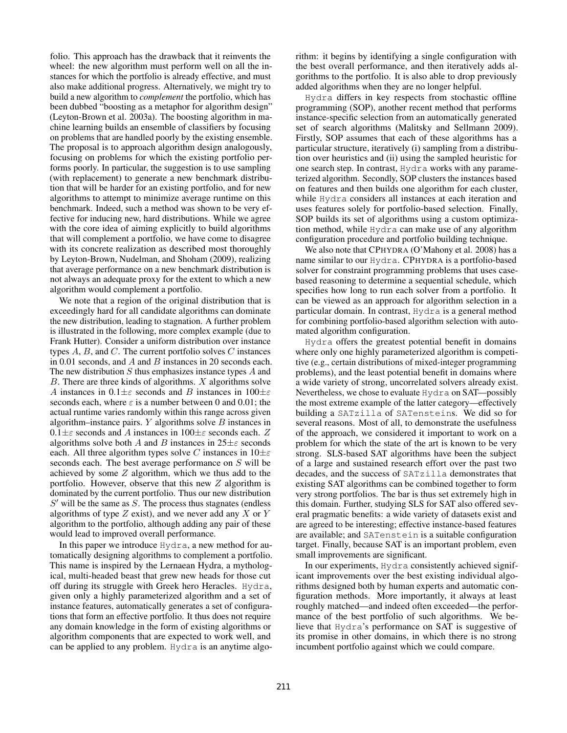folio. This approach has the drawback that it reinvents the wheel: the new algorithm must perform well on all the instances for which the portfolio is already effective, and must also make additional progress. Alternatively, we might try to build a new algorithm to *complement* the portfolio, which has been dubbed "boosting as a metaphor for algorithm design" (Leyton-Brown et al. 2003a). The boosting algorithm in machine learning builds an ensemble of classifiers by focusing on problems that are handled poorly by the existing ensemble. The proposal is to approach algorithm design analogously, focusing on problems for which the existing portfolio performs poorly. In particular, the suggestion is to use sampling (with replacement) to generate a new benchmark distribution that will be harder for an existing portfolio, and for new algorithms to attempt to minimize average runtime on this benchmark. Indeed, such a method was shown to be very effective for inducing new, hard distributions. While we agree with the core idea of aiming explicitly to build algorithms that will complement a portfolio, we have come to disagree with its concrete realization as described most thoroughly by Leyton-Brown, Nudelman, and Shoham (2009), realizing that average performance on a new benchmark distribution is not always an adequate proxy for the extent to which a new algorithm would complement a portfolio.

We note that a region of the original distribution that is exceedingly hard for all candidate algorithms can dominate the new distribution, leading to stagnation. A further problem is illustrated in the following, more complex example (due to Frank Hutter). Consider a uniform distribution over instance types  $A$ ,  $B$ , and  $C$ . The current portfolio solves  $C$  instances in 0.01 seconds, and A and B instances in 20 seconds each. The new distribution  $S$  thus emphasizes instance types  $A$  and  $B$ . There are three kinds of algorithms.  $X$  algorithms solve A instances in  $0.1 \pm \varepsilon$  seconds and B instances in  $100 \pm \varepsilon$ seconds each, where  $\varepsilon$  is a number between 0 and 0.01; the actual runtime varies randomly within this range across given algorithm–instance pairs.  $Y$  algorithms solve  $B$  instances in  $0.1 \pm \varepsilon$  seconds and A instances in  $100 \pm \varepsilon$  seconds each. Z algorithms solve both A and B instances in  $25\pm\varepsilon$  seconds each. All three algorithm types solve C instances in  $10 \pm \varepsilon$ seconds each. The best average performance on S will be achieved by some  $Z$  algorithm, which we thus add to the portfolio. However, observe that this new  $Z$  algorithm is dominated by the current portfolio. Thus our new distribution  $S'$  will be the same as  $S$ . The process thus stagnates (endless algorithms of type  $Z$  exist), and we never add any  $X$  or  $Y$ algorithm to the portfolio, although adding any pair of these would lead to improved overall performance.

In this paper we introduce Hydra, a new method for automatically designing algorithms to complement a portfolio. This name is inspired by the Lernaean Hydra, a mythological, multi-headed beast that grew new heads for those cut off during its struggle with Greek hero Heracles. Hydra, given only a highly parameterized algorithm and a set of instance features, automatically generates a set of configurations that form an effective portfolio. It thus does not require any domain knowledge in the form of existing algorithms or algorithm components that are expected to work well, and can be applied to any problem. Hydra is an anytime algorithm: it begins by identifying a single configuration with the best overall performance, and then iteratively adds algorithms to the portfolio. It is also able to drop previously added algorithms when they are no longer helpful.

Hydra differs in key respects from stochastic offline programming (SOP), another recent method that performs instance-specific selection from an automatically generated set of search algorithms (Malitsky and Sellmann 2009). Firstly, SOP assumes that each of these algorithms has a particular structure, iteratively (i) sampling from a distribution over heuristics and (ii) using the sampled heuristic for one search step. In contrast, Hydra works with any parameterized algorithm. Secondly, SOP clusters the instances based on features and then builds one algorithm for each cluster, while Hydra considers all instances at each iteration and uses features solely for portfolio-based selection. Finally, SOP builds its set of algorithms using a custom optimization method, while Hydra can make use of any algorithm configuration procedure and portfolio building technique.

We also note that CPHYDRA (O'Mahony et al. 2008) has a name similar to our Hydra. CPHYDRA is a portfolio-based solver for constraint programming problems that uses casebased reasoning to determine a sequential schedule, which specifies how long to run each solver from a portfolio. It can be viewed as an approach for algorithm selection in a particular domain. In contrast, Hydra is a general method for combining portfolio-based algorithm selection with automated algorithm configuration.

Hydra offers the greatest potential benefit in domains where only one highly parameterized algorithm is competitive (e.g., certain distributions of mixed-integer programming problems), and the least potential benefit in domains where a wide variety of strong, uncorrelated solvers already exist. Nevertheless, we chose to evaluate Hydra on SAT—possibly the most extreme example of the latter category—effectively building a SATzilla of SATensteins. We did so for several reasons. Most of all, to demonstrate the usefulness of the approach, we considered it important to work on a problem for which the state of the art is known to be very strong. SLS-based SAT algorithms have been the subject of a large and sustained research effort over the past two decades, and the success of SATzilla demonstrates that existing SAT algorithms can be combined together to form very strong portfolios. The bar is thus set extremely high in this domain. Further, studying SLS for SAT also offered several pragmatic benefits: a wide variety of datasets exist and are agreed to be interesting; effective instance-based features are available; and SATenstein is a suitable configuration target. Finally, because SAT is an important problem, even small improvements are significant.

In our experiments, Hydra consistently achieved significant improvements over the best existing individual algorithms designed both by human experts and automatic configuration methods. More importantly, it always at least roughly matched—and indeed often exceeded—the performance of the best portfolio of such algorithms. We believe that Hydra's performance on SAT is suggestive of its promise in other domains, in which there is no strong incumbent portfolio against which we could compare.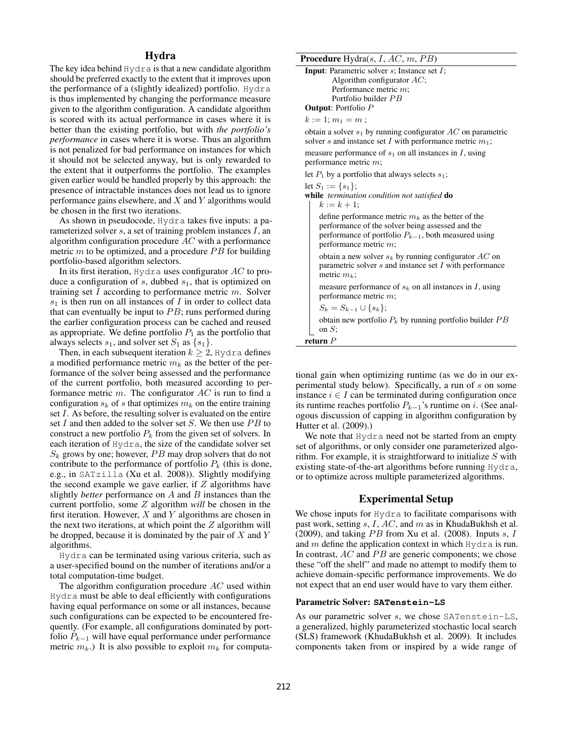# Hydra

The key idea behind Hydra is that a new candidate algorithm should be preferred exactly to the extent that it improves upon the performance of a (slightly idealized) portfolio. Hydra is thus implemented by changing the performance measure given to the algorithm configuration. A candidate algorithm is scored with its actual performance in cases where it is better than the existing portfolio, but with *the portfolio's performance* in cases where it is worse. Thus an algorithm is not penalized for bad performance on instances for which it should not be selected anyway, but is only rewarded to the extent that it outperforms the portfolio. The examples given earlier would be handled properly by this approach: the presence of intractable instances does not lead us to ignore performance gains elsewhere, and  $X$  and  $Y$  algorithms would be chosen in the first two iterations.

As shown in pseudocode, Hydra takes five inputs: a parameterized solver  $s$ , a set of training problem instances  $I$ , an algorithm configuration procedure  $AC$  with a performance metric  $m$  to be optimized, and a procedure  $PB$  for building portfolio-based algorithm selectors.

In its first iteration,  $Hydra$  uses configurator  $AC$  to produce a configuration of  $s$ , dubbed  $s<sub>1</sub>$ , that is optimized on training set I according to performance metric  $m$ . Solver  $s_1$  is then run on all instances of I in order to collect data that can eventually be input to  $PB$ ; runs performed during the earlier configuration process can be cached and reused as appropriate. We define portfolio  $P_1$  as the portfolio that always selects  $s_1$ , and solver set  $S_1$  as  $\{s_1\}.$ 

Then, in each subsequent iteration  $k \geq 2$ , Hydra defines a modified performance metric  $m_k$  as the better of the performance of the solver being assessed and the performance of the current portfolio, both measured according to performance metric  $m$ . The configurator  $AC$  is run to find a configuration  $s_k$  of s that optimizes  $m_k$  on the entire training set I. As before, the resulting solver is evaluated on the entire set  $I$  and then added to the solver set  $S$ . We then use  $PB$  to construct a new portfolio  $P_k$  from the given set of solvers. In each iteration of Hydra, the size of the candidate solver set  $S_k$  grows by one; however,  $PB$  may drop solvers that do not contribute to the performance of portfolio  $P_k$  (this is done, e.g., in SATzilla (Xu et al. 2008)). Slightly modifying the second example we gave earlier, if  $Z$  algorithms have slightly *better* performance on A and B instances than the current portfolio, some Z algorithm *will* be chosen in the first iteration. However,  $X$  and  $Y$  algorithms are chosen in the next two iterations, at which point the  $Z$  algorithm will be dropped, because it is dominated by the pair of  $X$  and  $Y$ algorithms.

Hydra can be terminated using various criteria, such as a user-specified bound on the number of iterations and/or a total computation-time budget.

The algorithm configuration procedure AC used within Hydra must be able to deal efficiently with configurations having equal performance on some or all instances, because such configurations can be expected to be encountered frequently. (For example, all configurations dominated by portfolio  $P_{k-1}$  will have equal performance under performance metric  $m_k$ .) It is also possible to exploit  $m_k$  for computa**Procedure** Hydra(s,  $I$ ,  $AC$ ,  $m$ ,  $PB$ )

| <b>Input:</b> Parametric solver $s$ ; Instance set $I$ ; |
|----------------------------------------------------------|
| Algorithm configurator $AC$ ;                            |
| Performance metric $m$ ;                                 |
| Portfolio builder PB                                     |
| <b>Output:</b> Portfolio $P$                             |

 $k := 1; m_1 = m;$ 

obtain a solver  $s_1$  by running configurator  $AC$  on parametric solver s and instance set I with performance metric  $m_1$ ;

measure performance of  $s_1$  on all instances in I, using performance metric m;

let  $P_1$  by a portfolio that always selects  $s_1$ ;

| let $S_1 := \{s_1\};$<br>while <i>termination condition not satisfied</i> do |
|------------------------------------------------------------------------------|
| $k := k + 1$ ;                                                               |
| define performance metric $m_k$ as the bet                                   |
| performance of the solver being assessed                                     |

| performance of the solver being assessed and the<br>performance of portfolio $P_{k-1}$ , both measured using<br>performance metric $m$ ;   |
|--------------------------------------------------------------------------------------------------------------------------------------------|
| obtain a new solver $s_k$ by running configurator $AC$ on<br>parametric solver $s$ and instance set $I$ with performance<br>metric $m_k$ ; |
| measure performance of $s_k$ on all instances in I, using<br>performance metric $m$ ;<br>$\alpha$ $\alpha$ $\beta$                         |

 $m_k$  as the better of the

 $S_k = S_{k-1} \cup \{s_k\};$ 

obtain new portfolio  $P_k$  by running portfolio builder  $PB$ on S;

return P

tional gain when optimizing runtime (as we do in our experimental study below). Specifically, a run of s on some instance  $i \in I$  can be terminated during configuration once its runtime reaches portfolio  $P_{k-1}$ 's runtime on i. (See analogous discussion of capping in algorithm configuration by Hutter et al. (2009).)

We note that Hydra need not be started from an empty set of algorithms, or only consider one parameterized algorithm. For example, it is straightforward to initialize S with existing state-of-the-art algorithms before running Hydra, or to optimize across multiple parameterized algorithms.

# Experimental Setup

We chose inputs for Hydra to facilitate comparisons with past work, setting  $s, I, AC$ , and  $m$  as in KhudaBukhsh et al. (2009), and taking  $PB$  from Xu et al. (2008). Inputs  $s, I$ and  $m$  define the application context in which Hydra is run. In contrast,  $AC$  and  $PB$  are generic components; we chose these "off the shelf" and made no attempt to modify them to achieve domain-specific performance improvements. We do not expect that an end user would have to vary them either.

#### Parametric Solver: **SATenstein-LS**

As our parametric solver s, we chose SATenstein-LS, a generalized, highly parameterized stochastic local search (SLS) framework (KhudaBukhsh et al. 2009). It includes components taken from or inspired by a wide range of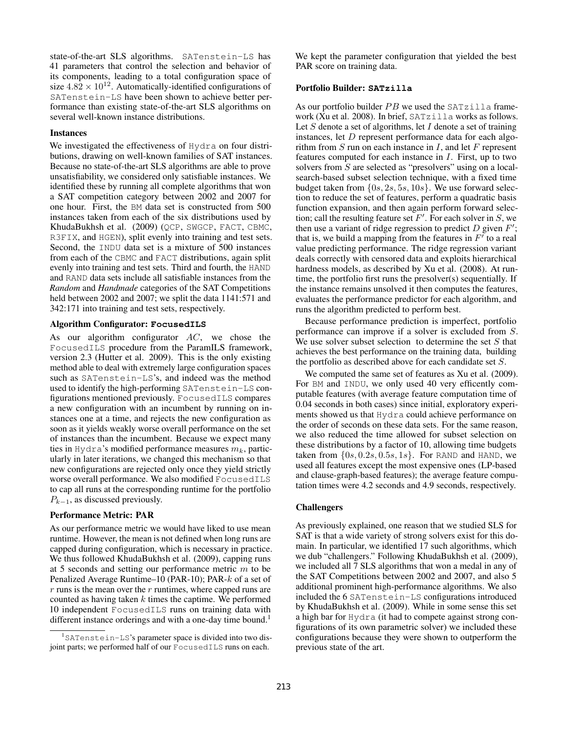state-of-the-art SLS algorithms. SATenstein-LS has 41 parameters that control the selection and behavior of its components, leading to a total configuration space of size  $4.82 \times 10^{12}$ . Automatically-identified configurations of SATenstein-LS have been shown to achieve better performance than existing state-of-the-art SLS algorithms on several well-known instance distributions.

#### **Instances**

We investigated the effectiveness of Hydra on four distributions, drawing on well-known families of SAT instances. Because no state-of-the-art SLS algorithms are able to prove unsatisfiability, we considered only satisfiable instances. We identified these by running all complete algorithms that won a SAT competition category between 2002 and 2007 for one hour. First, the BM data set is constructed from 500 instances taken from each of the six distributions used by KhudaBukhsh et al. (2009) (QCP, SWGCP, FACT, CBMC, R3FIX, and HGEN), split evenly into training and test sets. Second, the INDU data set is a mixture of 500 instances from each of the CBMC and FACT distributions, again split evenly into training and test sets. Third and fourth, the HAND and RAND data sets include all satisfiable instances from the *Random* and *Handmade* categories of the SAT Competitions held between 2002 and 2007; we split the data 1141:571 and 342:171 into training and test sets, respectively.

# Algorithm Configurator: **FocusedILS**

As our algorithm configurator  $AC$ , we chose the FocusedILS procedure from the ParamILS framework, version 2.3 (Hutter et al. 2009). This is the only existing method able to deal with extremely large configuration spaces such as SATenstein-LS's, and indeed was the method used to identify the high-performing SATenstein-LS configurations mentioned previously. FocusedILS compares a new configuration with an incumbent by running on instances one at a time, and rejects the new configuration as soon as it yields weakly worse overall performance on the set of instances than the incumbent. Because we expect many ties in Hydra's modified performance measures  $m_k$ , particularly in later iterations, we changed this mechanism so that new configurations are rejected only once they yield strictly worse overall performance. We also modified FocusedILS to cap all runs at the corresponding runtime for the portfolio  $P_{k-1}$ , as discussed previously.

#### Performance Metric: PAR

As our performance metric we would have liked to use mean runtime. However, the mean is not defined when long runs are capped during configuration, which is necessary in practice. We thus followed KhudaBukhsh et al. (2009), capping runs at 5 seconds and setting our performance metric m to be Penalized Average Runtime–10 (PAR-10); PAR-k of a set of  $r$  runs is the mean over the  $r$  runtimes, where capped runs are counted as having taken  $k$  times the captime. We performed 10 independent FocusedILS runs on training data with different instance orderings and with a one-day time bound.<sup>1</sup>

We kept the parameter configuration that yielded the best PAR score on training data.

## Portfolio Builder: **SATzilla**

As our portfolio builder  $PB$  we used the SATzilla framework (Xu et al. 2008). In brief, SATzilla works as follows. Let  $S$  denote a set of algorithms, let  $I$  denote a set of training instances, let  $D$  represent performance data for each algorithm from  $S$  run on each instance in  $I$ , and let  $F$  represent features computed for each instance in  $I$ . First, up to two solvers from S are selected as "presolvers" using on a localsearch-based subset selection technique, with a fixed time budget taken from  $\{0s, 2s, 5s, 10s\}$ . We use forward selection to reduce the set of features, perform a quadratic basis function expansion, and then again perform forward selection; call the resulting feature set  $F'$ . For each solver in S, we then use a variant of ridge regression to predict  $D$  given  $F'$ ; that is, we build a mapping from the features in  $F'$  to a real value predicting performance. The ridge regression variant deals correctly with censored data and exploits hierarchical hardness models, as described by Xu et al. (2008). At runtime, the portfolio first runs the presolver(s) sequentially. If the instance remains unsolved it then computes the features, evaluates the performance predictor for each algorithm, and runs the algorithm predicted to perform best.

Because performance prediction is imperfect, portfolio performance can improve if a solver is excluded from S. We use solver subset selection to determine the set  $S$  that achieves the best performance on the training data, building the portfolio as described above for each candidate set S.

We computed the same set of features as Xu et al. (2009). For BM and INDU, we only used 40 very efficently computable features (with average feature computation time of 0.04 seconds in both cases) since initial, exploratory experiments showed us that Hydra could achieve performance on the order of seconds on these data sets. For the same reason, we also reduced the time allowed for subset selection on these distributions by a factor of 10, allowing time budgets taken from  $\{0s, 0.2s, 0.5s, 1s\}$ . For RAND and HAND, we used all features except the most expensive ones (LP-based and clause-graph-based features); the average feature computation times were 4.2 seconds and 4.9 seconds, respectively.

#### Challengers

As previously explained, one reason that we studied SLS for SAT is that a wide variety of strong solvers exist for this domain. In particular, we identified 17 such algorithms, which we dub "challengers." Following KhudaBukhsh et al. (2009), we included all 7 SLS algorithms that won a medal in any of the SAT Competitions between 2002 and 2007, and also 5 additional prominent high-performance algorithms. We also included the 6 SATenstein-LS configurations introduced by KhudaBukhsh et al. (2009). While in some sense this set a high bar for Hydra (it had to compete against strong configurations of its own parametric solver) we included these configurations because they were shown to outperform the previous state of the art.

 $1$ SATenstein-LS's parameter space is divided into two disjoint parts; we performed half of our FocusedILS runs on each.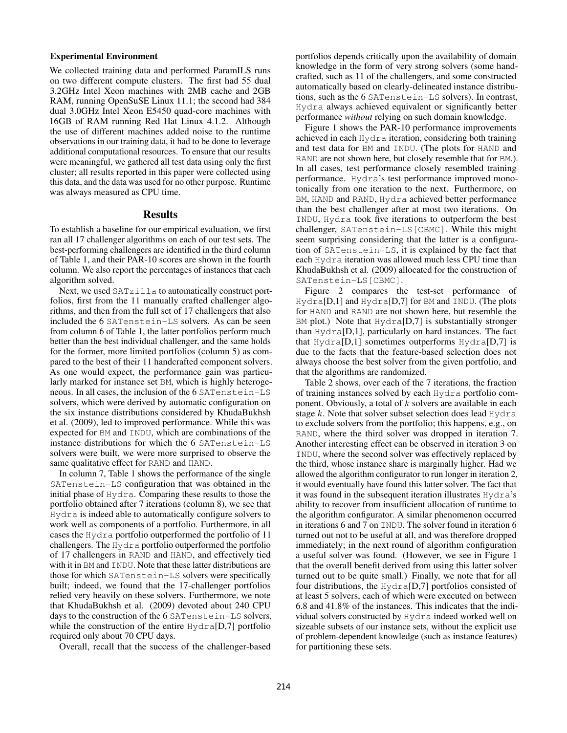## Experimental Environment

We collected training data and performed ParamILS runs on two different compute clusters. The first had 55 dual 3.2GHz Intel Xeon machines with 2MB cache and 2GB RAM, running OpenSuSE Linux 11.1; the second had 384 dual 3.0GHz Intel Xeon E5450 quad-core machines with 16GB of RAM running Red Hat Linux 4.1.2. Although the use of different machines added noise to the runtime observations in our training data, it had to be done to leverage additional computational resources. To ensure that our results were meaningful, we gathered all test data using only the first cluster; all results reported in this paper were collected using this data, and the data was used for no other purpose. Runtime was always measured as CPU time.

# Results

To establish a baseline for our empirical evaluation, we first ran all 17 challenger algorithms on each of our test sets. The best-performing challengers are identified in the third column of Table 1, and their PAR-10 scores are shown in the fourth column. We also report the percentages of instances that each algorithm solved.

Next, we used SATzilla to automatically construct portfolios, first from the 11 manually crafted challenger algorithms, and then from the full set of 17 challengers that also included the 6 SATenstein-LS solvers. As can be seen from column 6 of Table 1, the latter portfolios perform much better than the best individual challenger, and the same holds for the former, more limited portfolios (column 5) as compared to the best of their 11 handcrafted component solvers. As one would expect, the performance gain was particularly marked for instance set BM, which is highly heterogeneous. In all cases, the inclusion of the 6 SATenstein-LS solvers, which were derived by automatic configuration on the six instance distributions considered by KhudaBukhsh et al. (2009), led to improved performance. While this was expected for BM and INDU, which are combinations of the instance distributions for which the 6 SATenstein-LS solvers were built, we were more surprised to observe the same qualitative effect for RAND and HAND.

In column 7, Table 1 shows the performance of the single SATenstein-LS configuration that was obtained in the initial phase of Hydra. Comparing these results to those the portfolio obtained after 7 iterations (column 8), we see that Hydra is indeed able to automatically configure solvers to work well as components of a portfolio. Furthermore, in all cases the Hydra portfolio outperformed the portfolio of 11 challengers. The Hydra portfolio outperformed the portfolio of 17 challengers in RAND and HAND, and effectively tied with it in BM and INDU. Note that these latter distributions are those for which SATenstein-LS solvers were specifically built; indeed, we found that the 17-challenger portfolios relied very heavily on these solvers. Furthermore, we note that KhudaBukhsh et al. (2009) devoted about 240 CPU days to the construction of the 6 SATenstein-LS solvers, while the construction of the entire Hydra[D,7] portfolio required only about 70 CPU days.

Overall, recall that the success of the challenger-based

portfolios depends critically upon the availability of domain knowledge in the form of very strong solvers (some handcrafted, such as 11 of the challengers, and some constructed automatically based on clearly-delineated instance distributions, such as the 6 SATenstein-LS solvers). In contrast, Hydra always achieved equivalent or significantly better performance *without* relying on such domain knowledge.

Figure 1 shows the PAR-10 performance improvements achieved in each Hydra iteration, considering both training and test data for BM and INDU. (The plots for HAND and RAND are not shown here, but closely resemble that for BM.). In all cases, test performance closely resembled training performance. Hydra's test performance improved monotonically from one iteration to the next. Furthermore, on BM, HAND and RAND, Hydra achieved better performance than the best challenger after at most two iterations. On INDU, Hydra took five iterations to outperform the best challenger, SATenstein-LS[CBMC]. While this might seem surprising considering that the latter is a configuration of SATenstein-LS, it is explained by the fact that each Hydra iteration was allowed much less CPU time than KhudaBukhsh et al. (2009) allocated for the construction of SATenstein-LS[CBMC].

Figure 2 compares the test-set performance of Hydra[D,1] and Hydra[D,7] for BM and INDU. (The plots for HAND and RAND are not shown here, but resemble the  $BM$  plot.) Note that  $Hydra[D,7]$  is substantially stronger than  $Hydra[D,1]$ , particularly on hard instances. The fact that  $Hydra[D,1]$  sometimes outperforms  $Hydra[D,7]$  is due to the facts that the feature-based selection does not always choose the best solver from the given portfolio, and that the algorithms are randomized.

Table 2 shows, over each of the 7 iterations, the fraction of training instances solved by each Hydra portfolio component. Obviously, a total of  $k$  solvers are available in each stage  $k$ . Note that solver subset selection does lead Hydra to exclude solvers from the portfolio; this happens, e.g., on RAND, where the third solver was dropped in iteration 7. Another interesting effect can be observed in iteration 3 on INDU, where the second solver was effectively replaced by the third, whose instance share is marginally higher. Had we allowed the algorithm configurator to run longer in iteration 2, it would eventually have found this latter solver. The fact that it was found in the subsequent iteration illustrates Hydra's ability to recover from insufficient allocation of runtime to the algorithm configurator. A similar phenomenon occurred in iterations 6 and 7 on INDU. The solver found in iteration 6 turned out not to be useful at all, and was therefore dropped immediately; in the next round of algorithm configuration a useful solver was found. (However, we see in Figure 1 that the overall benefit derived from using this latter solver turned out to be quite small.) Finally, we note that for all four distributions, the Hydra[D,7] portfolios consisted of at least 5 solvers, each of which were executed on between 6.8 and 41.8% of the instances. This indicates that the individual solvers constructed by Hydra indeed worked well on sizeable subsets of our instance sets, without the explicit use of problem-dependent knowledge (such as instance features) for partitioning these sets.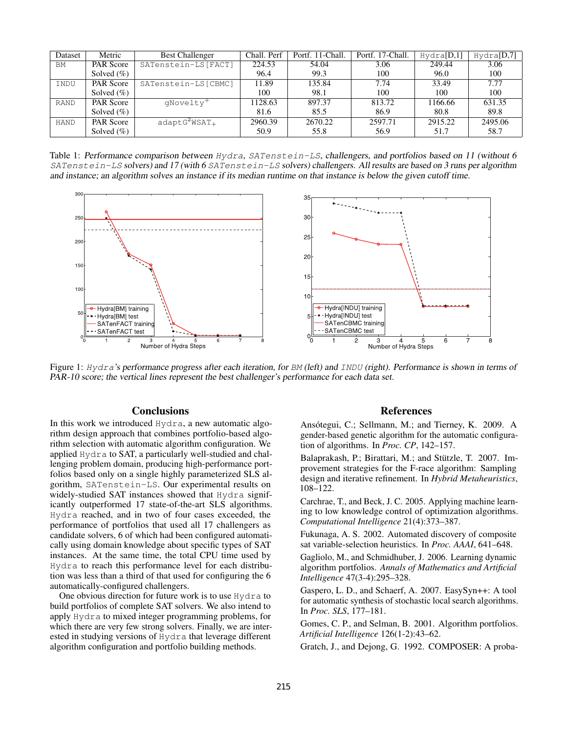| Dataset     | Metric        | <b>Best Challenger</b> | Chall. Perf | Portf. 11-Chall. | Portf. 17-Chall. | Hydra[D,1] | Hydra[D,7] |
|-------------|---------------|------------------------|-------------|------------------|------------------|------------|------------|
| <b>BM</b>   | PAR Score     | SATenstein-LS [FACT]   | 224.53      | 54.04            | 3.06             | 249.44     | 3.06       |
|             | Solved $(\%)$ |                        | 96.4        | 99.3             | 100              | 96.0       | 100        |
| INDU        | PAR Score     | SATenstein-LS[CBMC]    | 11.89       | 135.84           | 7.74             | 33.49      | 7.77       |
|             | Solved $(\%)$ |                        | 100         | 98.1             | 100              | 100        | 100        |
| <b>RAND</b> | PAR Score     | qNovelty <sup>+</sup>  | 1128.63     | 897.37           | 813.72           | 1166.66    | 631.35     |
|             | Solved $(\%)$ |                        | 81.6        | 85.5             | 86.9             | 80.8       | 89.8       |
| HAND        | PAR Score     | $adaptG^2WSAT_+$       | 2960.39     | 2670.22          | 2597.71          | 2915.22    | 2495.06    |
|             | Solved $(\%)$ |                        | 50.9        | 55.8             | 56.9             | 51.7       | 58.7       |

Table 1: Performance comparison between Hydra, SATenstein-LS, challengers, and portfolios based on 11 (without 6 SATenstein-LS solvers) and 17 (with 6 SATenstein-LS solvers) challengers. All results are based on 3 runs per algorithm and instance; an algorithm solves an instance if its median runtime on that instance is below the given cutoff time.



Figure 1: Hydra's performance progress after each iteration, for BM (left) and INDU (right). Performance is shown in terms of PAR-10 score; the vertical lines represent the best challenger's performance for each data set.

# **Conclusions**

In this work we introduced Hydra, a new automatic algorithm design approach that combines portfolio-based algorithm selection with automatic algorithm configuration. We applied Hydra to SAT, a particularly well-studied and challenging problem domain, producing high-performance portfolios based only on a single highly parameterized SLS algorithm, SATenstein-LS. Our experimental results on widely-studied SAT instances showed that Hydra significantly outperformed 17 state-of-the-art SLS algorithms. Hydra reached, and in two of four cases exceeded, the performance of portfolios that used all 17 challengers as candidate solvers, 6 of which had been configured automatically using domain knowledge about specific types of SAT instances. At the same time, the total CPU time used by Hydra to reach this performance level for each distribution was less than a third of that used for configuring the 6 automatically-configured challengers.

One obvious direction for future work is to use Hydra to build portfolios of complete SAT solvers. We also intend to apply Hydra to mixed integer programming problems, for which there are very few strong solvers. Finally, we are interested in studying versions of Hydra that leverage different algorithm configuration and portfolio building methods.

# References

Ansótegui, C.; Sellmann, M.; and Tierney, K. 2009. A gender-based genetic algorithm for the automatic configuration of algorithms. In *Proc. CP*, 142–157.

Balaprakash, P.; Birattari, M.; and Stützle, T. 2007. Improvement strategies for the F-race algorithm: Sampling design and iterative refinement. In *Hybrid Metaheuristics*, 108–122.

Carchrae, T., and Beck, J. C. 2005. Applying machine learning to low knowledge control of optimization algorithms. *Computational Intelligence* 21(4):373–387.

Fukunaga, A. S. 2002. Automated discovery of composite sat variable-selection heuristics. In *Proc. AAAI*, 641–648.

Gagliolo, M., and Schmidhuber, J. 2006. Learning dynamic algorithm portfolios. *Annals of Mathematics and Artificial Intelligence* 47(3-4):295–328.

Gaspero, L. D., and Schaerf, A. 2007. EasySyn++: A tool for automatic synthesis of stochastic local search algorithms. In *Proc. SLS*, 177–181.

Gomes, C. P., and Selman, B. 2001. Algorithm portfolios. *Artificial Intelligence* 126(1-2):43–62.

Gratch, J., and Dejong, G. 1992. COMPOSER: A proba-